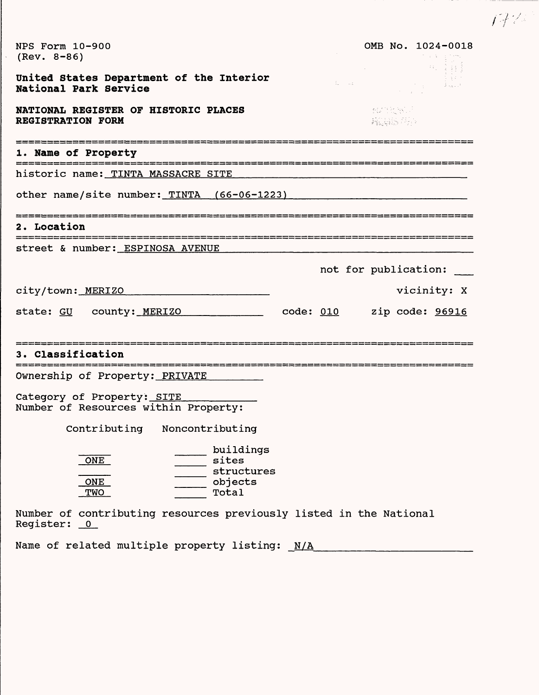| NPS Form 10-900<br>$(Rev. 8-86)$                                                                                                                                     | OMB No. 1024-0018<br>그리고 열심 |
|----------------------------------------------------------------------------------------------------------------------------------------------------------------------|-----------------------------|
| United States Department of the Interior<br>$\mathbb{E}\left[\mathbb{E}_{\mathbf{z}}\right]=\mathbb{E}\left[\mathbb{E}_{\mathbf{z}}\right]$<br>National Park Service |                             |
| NATIONAL REGISTER OF HISTORIC PLACES<br><b>REGISTRATION FORM</b>                                                                                                     | 不好的地说<br>真正的 身体             |
| 1. Name of Property                                                                                                                                                  |                             |
| historic name: TINTA MASSACRE SITE                                                                                                                                   |                             |
| other name/site number: TINTA (66-06-1223)                                                                                                                           |                             |
| 2. Location                                                                                                                                                          |                             |
| street & number: ESPINOSA AVENUE                                                                                                                                     |                             |
|                                                                                                                                                                      | not for publication:        |
| city/town: MERIZO                                                                                                                                                    | vicinity: X                 |
| state: GU county: MERIZO<br>_______ code: <u>010</u>                                                                                                                 | zip code: 96916             |
| 3. Classification                                                                                                                                                    |                             |
| Ownership of Property: PRIVATE                                                                                                                                       |                             |
| Category of Property: SITE<br>Number of Resources within Property:                                                                                                   |                             |
| Contributing Noncontributing                                                                                                                                         |                             |
| buildings<br>ONE<br>sites<br>structures<br>objects<br>ONE<br>Total<br>TWO<br>Number of contributing resources previously listed in the National                      |                             |
| Podictor: 0                                                                                                                                                          |                             |

 $17\%$ 

Register: 0

Name of related multiple property listing: N/A\_\_\_\_\_\_\_\_\_\_\_\_\_\_\_\_\_\_\_\_\_\_\_\_\_\_\_\_\_\_\_\_\_\_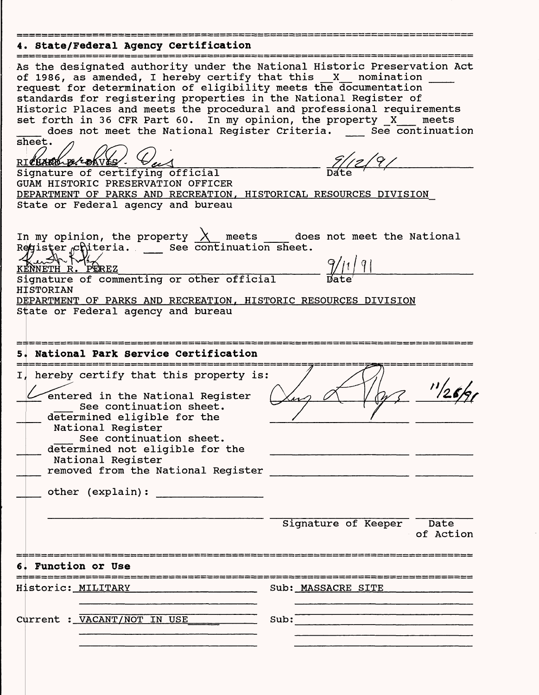## **4. State/Federal Agency Certification**

 $\bar{\gamma}$ 

| As the designated authority under the National Historic Preservation Act<br>of 1986, as amended, I hereby certify that this X nomination<br>request for determination of eligibility meets the documentation<br>standards for registering properties in the National Register of<br>Historic Places and meets the procedural and professional requirements<br>set forth in 36 CFR Part 60. In my opinion, the property X<br>does not meet the National Register Criteria. See continuation<br>sheet.<br>RICHARD BECOKVES<br>Signature of certifying official<br>GUAM HISTORIC PRESERVATION OFFICER<br>DEPARTMENT OF PARKS AND RECREATION, HISTORICAL RESOURCES DIVISION<br>State or Federal agency and bureau | meets                                                                                                           |
|---------------------------------------------------------------------------------------------------------------------------------------------------------------------------------------------------------------------------------------------------------------------------------------------------------------------------------------------------------------------------------------------------------------------------------------------------------------------------------------------------------------------------------------------------------------------------------------------------------------------------------------------------------------------------------------------------------------|-----------------------------------------------------------------------------------------------------------------|
| In my opinion, the property $\frac{\lambda}{\lambda}$ meets does not meet the National Register chiteria. ___ See continuation sheet.<br>$\sim$ $\approx$<br><u>KENNETH R. PEREZ</u><br>Signature of commenting or other official<br><b>HISTORIAN</b><br>DEPARTMENT OF PARKS AND RECREATION, HISTORIC RESOURCES DIVISION<br>State or Federal agency and bureau                                                                                                                                                                                                                                                                                                                                                | $\frac{9}{11}$                                                                                                  |
| National Park Service Certification                                                                                                                                                                                                                                                                                                                                                                                                                                                                                                                                                                                                                                                                           |                                                                                                                 |
| I, hereby certify that this property is:<br>entered in the National Register<br>See continuation sheet.<br>determined eligible for the<br>National Register<br>See continuation sheet.<br>determined not eligible for the<br>National Register<br>removed from the National Register<br>other (explain):                                                                                                                                                                                                                                                                                                                                                                                                      | and the state of the state of the state of the state of the state of the state of the state of the state of the |
|                                                                                                                                                                                                                                                                                                                                                                                                                                                                                                                                                                                                                                                                                                               | Signature of Keeper Date<br>of Action                                                                           |
| <b>Function or Use</b>                                                                                                                                                                                                                                                                                                                                                                                                                                                                                                                                                                                                                                                                                        |                                                                                                                 |
| Historic: MILITARY New Real Property of the Mistoric                                                                                                                                                                                                                                                                                                                                                                                                                                                                                                                                                                                                                                                          | Sub: MASSACRE SITE                                                                                              |
| Current : VACANT/NOT IN USE                                                                                                                                                                                                                                                                                                                                                                                                                                                                                                                                                                                                                                                                                   | Sub:                                                                                                            |
|                                                                                                                                                                                                                                                                                                                                                                                                                                                                                                                                                                                                                                                                                                               |                                                                                                                 |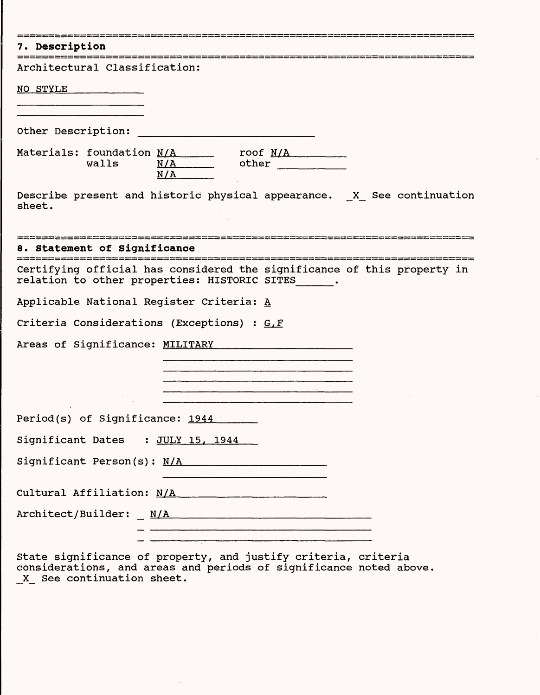| 7. Description                                                                                                                                                                                                                                                           |
|--------------------------------------------------------------------------------------------------------------------------------------------------------------------------------------------------------------------------------------------------------------------------|
| Architectural Classification:                                                                                                                                                                                                                                            |
| NO STYLE                                                                                                                                                                                                                                                                 |
|                                                                                                                                                                                                                                                                          |
| Other Description:                                                                                                                                                                                                                                                       |
| Materials: foundation N/A roof N/A roof N/A<br>walls<br>$N/A$ other<br>N/A                                                                                                                                                                                               |
| Describe present and historic physical appearance. X See continuation<br>sheet.                                                                                                                                                                                          |
| ۔<br>یہ سب میں اس کی بہت سب میں میں جب دین دیں دیں جب میں جب میں زیرے میں نہیں سب میں بھی میں میں میں جب میں میں می<br>8. Statement of Significance<br>۔<br>یہ اس کے میبر میں میں سے سے بھی اس سے میبر میں پہلا سے سے میں میں میں اس کے لیے سے سے میں میں میں میں کہ ایک |
| Certifying official has considered the significance of this property in<br>relation to other properties: HISTORIC SITES .                                                                                                                                                |
| Applicable National Register Criteria: A                                                                                                                                                                                                                                 |
| Criteria Considerations (Exceptions) : G.F                                                                                                                                                                                                                               |
| Areas of Significance: MILITARY The Contract of Significance: MILITARY                                                                                                                                                                                                   |
| <u> 1980 - Jan James James Barnett, amerikan beste beste beste beste beste beste beste beste beste beste beste bes</u>                                                                                                                                                   |
|                                                                                                                                                                                                                                                                          |
| Period(s) of Significance: 1944                                                                                                                                                                                                                                          |
| Significant Dates : JULY 15, 1944                                                                                                                                                                                                                                        |
|                                                                                                                                                                                                                                                                          |
| Significant Person(s): N/A                                                                                                                                                                                                                                               |
| Cultural Affiliation: N/A<br>Martin Cultural Affiliation: N/A                                                                                                                                                                                                            |
| $Architect/Builder: \ _ M/A$                                                                                                                                                                                                                                             |
| .<br>Managember 1974 – Profil de Lands de Britannia (1974), en 1974 en 1974 (1984), en 1984 en 1985 en 1986 en 198                                                                                                                                                       |
| State significance of proporty, and justify oritorial oritorial                                                                                                                                                                                                          |

State significance of property, and justify criteria, criteria considerations, and areas and periods of significance noted above X See continuation sheet.

 $\sim$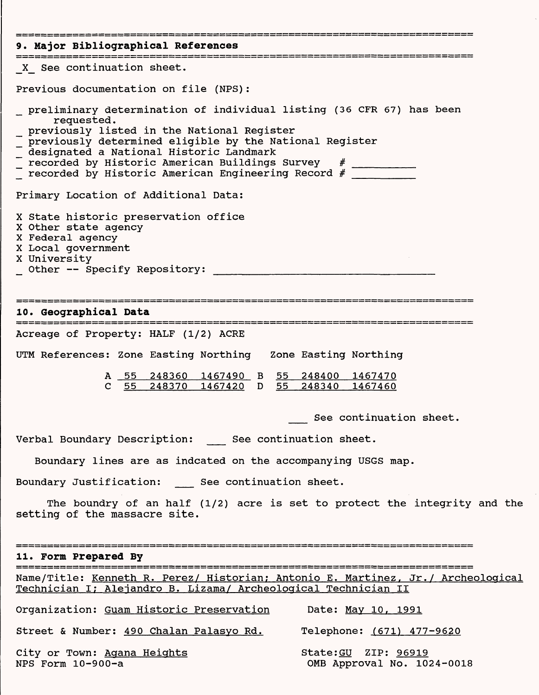| 9. Major Bibliographical References                                                                                                                                                                                                                                                                                                                                                                                                                                          |
|------------------------------------------------------------------------------------------------------------------------------------------------------------------------------------------------------------------------------------------------------------------------------------------------------------------------------------------------------------------------------------------------------------------------------------------------------------------------------|
| X See continuation sheet.                                                                                                                                                                                                                                                                                                                                                                                                                                                    |
| Previous documentation on file (NPS):                                                                                                                                                                                                                                                                                                                                                                                                                                        |
| preliminary determination of individual listing (36 CFR 67) has been<br>requested.<br>_ previously listed in the National Register<br>previously determined eligible by the National Register<br>_ designated a National Historic Landmark<br>T recorded by Historic American Buildings Survey # Theorical Buildings Survey = + Theorical Precord = + Theorical Buildings Record = + Theorical Buildings Record = + Theorical Buildings Record = + Theorical Buildings Recor |
| Primary Location of Additional Data:                                                                                                                                                                                                                                                                                                                                                                                                                                         |
| X State historic preservation office<br>X Other state agency<br>X Federal agency<br>X Local government<br>X University<br>Other -- Specify Repository:                                                                                                                                                                                                                                                                                                                       |
| surg geben data man man sama sama sa sa tu na sa tu na sa tu na sa tu na sa tu na sa tu na sa tu na sa tu na s<br>10. Geographical Data                                                                                                                                                                                                                                                                                                                                      |
| Acreage of Property: HALF (1/2) ACRE                                                                                                                                                                                                                                                                                                                                                                                                                                         |
| UTM References: Zone Easting Northing Zone Easting Northing                                                                                                                                                                                                                                                                                                                                                                                                                  |
| A 55 248360 1467490 B 55 248400 1467470<br>55  248370  1467420  D   55  248340  1467460<br>$\mathbf{C}$                                                                                                                                                                                                                                                                                                                                                                      |
| See continuation sheet.                                                                                                                                                                                                                                                                                                                                                                                                                                                      |
| Verbal Boundary Description: See continuation sheet.                                                                                                                                                                                                                                                                                                                                                                                                                         |
| Boundary lines are as indcated on the accompanying USGS map.                                                                                                                                                                                                                                                                                                                                                                                                                 |
| Boundary Justification: See continuation sheet.                                                                                                                                                                                                                                                                                                                                                                                                                              |
| The boundry of an half (1/2) acre is set to protect the integrity and the<br>setting of the massacre site.                                                                                                                                                                                                                                                                                                                                                                   |
| 11. Form Prepared By                                                                                                                                                                                                                                                                                                                                                                                                                                                         |
| Name/Title: Kenneth R. Perez/ Historian; Antonio E. Martinez, Jr./ Archeological<br>Technician I; Alejandro B. Lizama/ Archeological Technician II                                                                                                                                                                                                                                                                                                                           |
| Organization: Guam Historic Preservation Date: May 10, 1991                                                                                                                                                                                                                                                                                                                                                                                                                  |
| Street & Number: 490 Chalan Palasyo Rd.<br>Telephone: (671) 477-9620                                                                                                                                                                                                                                                                                                                                                                                                         |
| City or Town: Agana Heights<br>State: GU ZIP: 96919<br>NPS Form 10-900-a<br>OMB Approval No. 1024-0018                                                                                                                                                                                                                                                                                                                                                                       |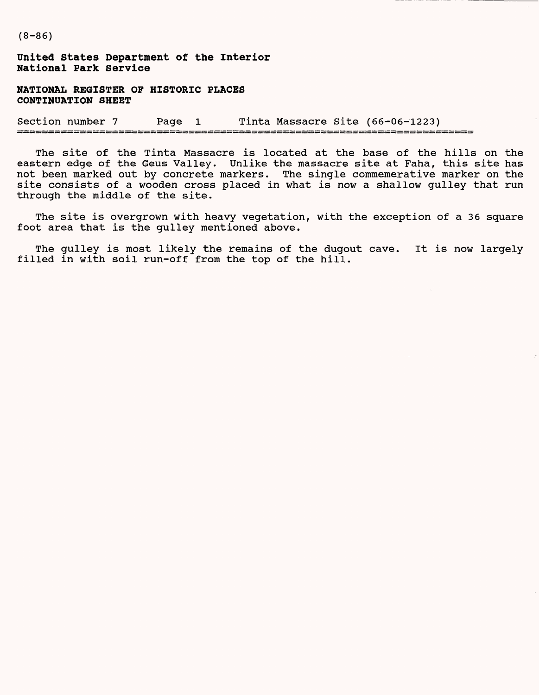**(8-86)**

**United States Department of the Interior National Park Service**

**NATIONAL REGISTER OF HISTORIC PLACES CONTINUATION SHEET**

Section number 7 Page 1 Tinta Massacre Site (66-06-1223)

The site of the Tinta Massacre is located at the base of the hills on the eastern edge of the Geus Valley. Unlike the massacre site at Faha, this site has not been marked out by concrete markers. The single commemerative marker on the site consists of a wooden cross placed in what is now a shallow gulley that run through the middle of the site.

The site is overgrown with heavy vegetation, with the exception of a 36 square foot area that is the gulley mentioned above.

The gulley is most likely the remains of the dugout cave. It is now largely filled in with soil run-off from the top of the hill.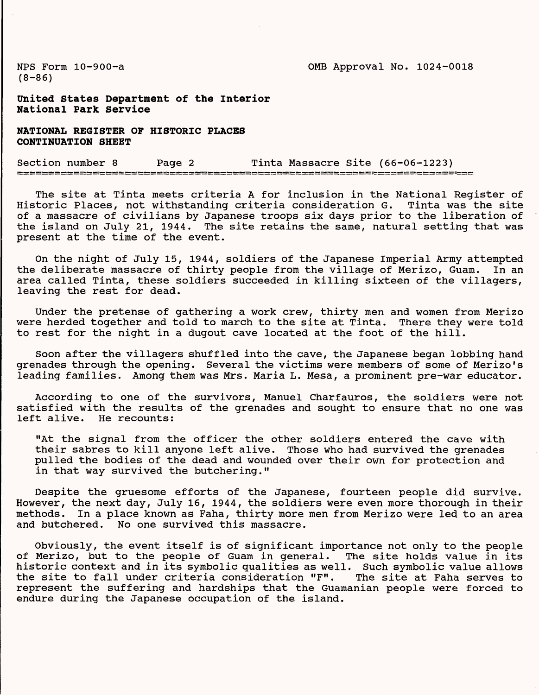NFS Form 10-900-a OMB Approval No. 1024-0018

(8-86)

**United States Department of the Interior National Park Service**

**NATIONAL REGISTER OF HISTORIC PLACES CONTINUATION SHEET**

Section number 8 Page 2 Tinta Massacre Site (66-06-1223) ----------------------

The site at Tinta meets criteria A for inclusion in the National Register of Historic Places, not withstanding criteria consideration G. Tinta was the site of a massacre of civilians by Japanese troops six days prior to the liberation of the island on July 21, 1944. The site retains the same, natural setting that was present at the time of the event.

On the night of July 15, 1944, soldiers of the Japanese Imperial Army attempted the deliberate massacre of thirty people from the village of Merizo, Guam. In an area called Tinta, these soldiers succeeded in killing sixteen of the villagers, leaving the rest for dead.

Under the pretense of gathering a work crew, thirty men and women from Merizo were herded together and told to march to the site at Tinta. There they were told to rest for the night in a dugout cave located at the foot of the hill.

Soon after the villagers shuffled into the cave, the Japanese began lobbing hand grenades through the opening. Several the victims were members of some of Merizo's leading families. Among them was Mrs. Maria L. Mesa, a prominent pre-war educator.

According to one of the survivors, Manuel Charfauros, the soldiers were not satisfied with the results of the grenades and sought to ensure that no one was left alive. He recounts:

"At the signal from the officer the other soldiers entered the cave with their sabres to kill anyone left alive. Those who had survived the grenades pulled the bodies of the dead and wounded over their own for protection and in that way survived the butchering."

Despite the gruesome efforts of the Japanese, fourteen people did survive. However, the next day, July 16, 1944, the soldiers were even more thorough in their methods. In a place known as Faha, thirty more men from Merizo were led to an area and butchered. No one survived this massacre.

Obviously, the event itself is of significant importance not only to the people of Merizo, but to the people of Guam in general. The site holds value in its historic context and in its symbolic qualities as well. Such symbolic value allows the site to fall under criteria consideration "F". The site at Faha serves to represent the suffering and hardships that the Guamanian people were forced to endure during the Japanese occupation of the island.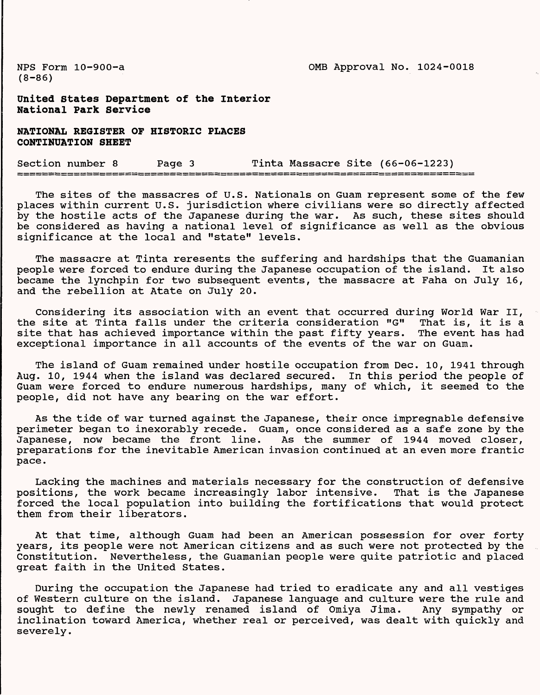NFS Form 10-900-a OMB Approval No. 1024-0018

(8-86)

**United states Department of the interior National Park Service**

**NATIONAL REGISTER OF HISTORIC PLACES CONTINUATION SHEET**

Section number 8 Page 3 Tinta Massacre Site (66-06-1223)

The sites of the massacres of U.S. Nationals on Guam represent some of the few places within current U.S. jurisdiction where civilians were so directly affected by the hostile acts of the Japanese during the war. As such, these sites should be considered as having a national level of significance as well as the obvious significance at the local and "state" levels.

The massacre at Tinta reresents the suffering and hardships that the Guamanian people were forced to endure during the Japanese occupation of the island. It also became the lynchpin for two subsequent events, the massacre at Faha on July 16, and the rebellion at Atate on July 20.

Considering its association with an event that occurred during World War II, the site at Tinta falls under the criteria consideration "G" That is, it is a site that has achieved importance within the past fifty years. The event has had exceptional importance in all accounts of the events of the war on Guam.

The island of Guam remained under hostile occupation from Dec. 10, 1941 through Aug. 10, 1944 when the island was declared secured. In this period the people of Guam were forced to endure numerous hardships, many of which, it seemed to the people, did not have any bearing on the war effort.

As the tide of war turned against the Japanese, their once impregnable defensive perimeter began to inexorably recede. Guam, once considered as a safe zone by the Japanese, now became the front line. As the summer of 1944 moved closer, preparations for the inevitable American invasion continued at an even more frantic pace.

Lacking the machines and materials necessary for the construction of defensive positions, the work became increasingly labor intensive. That is the Japanese forced the local population into building the fortifications that would protect them from their liberators.

At that time, although Guam had been an American possession for over forty years, its people were not American citizens and as such were not protected by the Constitution. Nevertheless, the Guamanian people were quite patriotic and placed great faith in the United States.

During the occupation the Japanese had tried to eradicate any and all vestiges of Western culture on the island. Japanese language and culture were the rule and sought to define the newly renamed island of Omiya Jima. Any sympathy or inclination toward America, whether real or perceived, was dealt with quickly and severely.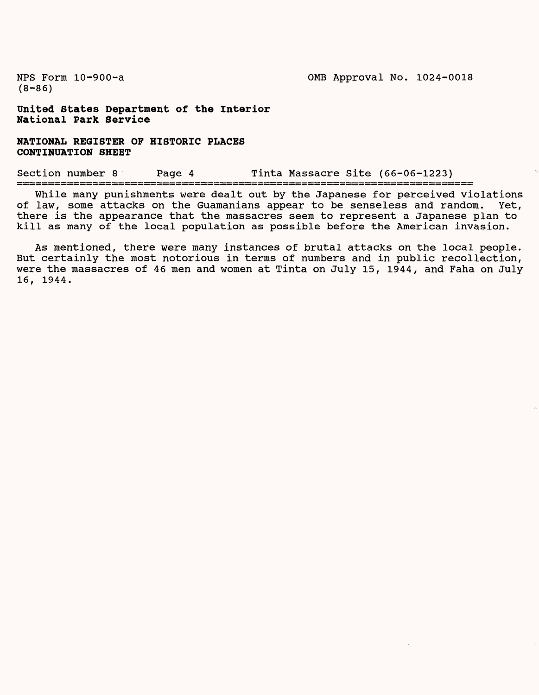(8-86)

**United States Department of the Interior National Park Service**

**NATIONAL REGISTER OF HISTORIC PLACES CONTINUATION SHEET**

Section number 8 Page 4 Tinta Massacre Site (66-06-1223)

While many punishments were dealt out by the Japanese for perceived violations of law, some attacks on the Guamanians appear to be senseless and random. Yet, there is the appearance that the massacres seem to represent a Japanese plan to kill as many of the local population as possible before the American invasion.

As mentioned, there were many instances of brutal attacks on the local people. But certainly the most notorious in terms of numbers and in public recollection, were the massacres of 46 men and women at Tinta on July 15, 1944, and Faha on July 16, 1944.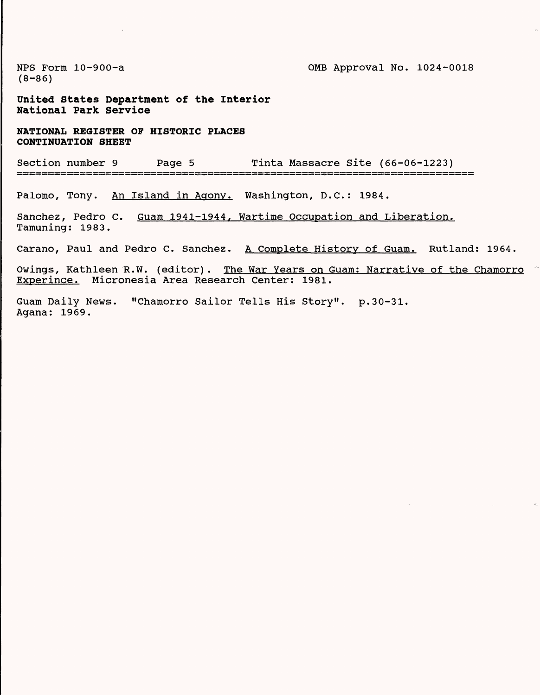$(8 - 86)$ 

NPS Form 10-900-a 2008 approval No. 1024-0018

**United states Department of the Interior National Park Service**

**NATIONAL REGISTER OF HISTORIC PLACES CONTINUATION SHEET**

Section number 9 Page 5 Tinta Massacre Site (66-06-1223)

Palomo, Tony. An Island in Agony. Washington, D.C.: 1984.

Sanchez, Pedro C. Guam 1941-1944, Wartime Occupation and Liberation. Tamuning: 1983.

Carano, Paul and Pedro C. Sanchez. A Complete History of Guam. Rutland: 1964.

Owings, Kathleen R.W. (editor). The War Years on Guam: Narrative of the Chamorro Experince. Micronesia Area Research Center: 1981.

Guam Daily News. "Chamorro Sailor Tells His Story", p.30-31. Agana: 1969.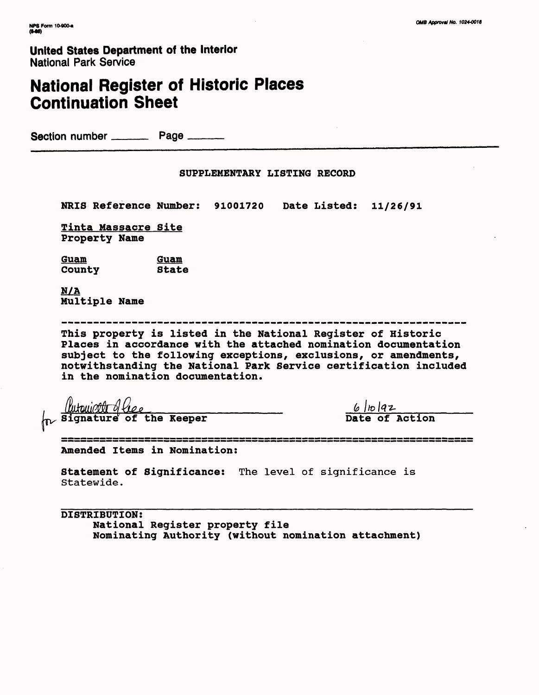## **United States Department of the Interior** National Park Service

## National Register of Historic Places Continuation Sheet

Section number \_\_\_\_\_\_\_ Page \_\_\_\_\_\_

## SUPPLEMENTARY LISTING RECORD

NRIS Reference Number: 91001720 Date Listed: 11/26/91

Tinta Massacre Site Property Name

<u>Guam Guam</u><br>Countv State County

N/A Multiple Name

This property is listed in the National Register of Historic Places in accordance with the attached nomination documentation subject to the following exceptions, exclusions, or amendments, notwithstanding the National Park Service certification included in the nomination documentation.

(the signature of the Keeper and The Chain of Action of Signature of the Keeper and Date of Action

۔<br>کا بل کہ ور بلا کہ کا کر کا ہم کا کہنا کہ بل بل سا کر کا لئا کا لگ کہنا کا لگ کا کہنا ہے جب ان کا لگ کا لیا کا<br>کا یہ انہ ہے کا سا بلا سے جب ان ڈیز پیر سا رہا ہے اور بیرد کا ان کے لئے بہت کو سائٹر راح اور پیر ان کا ان کا Amended Items in Nomination:

Statement of Significance: The level of significance is Statewide.

DISTRIBUTION: National Register property file Nominating Authority (without nomination attachment)